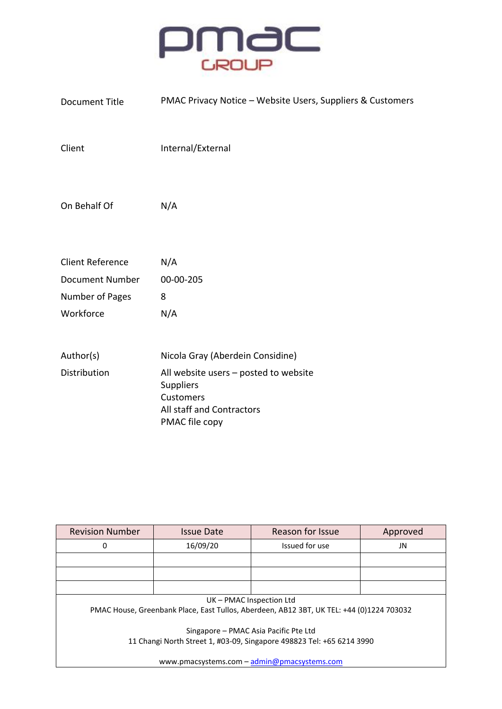

| <b>Document Title</b>   | PMAC Privacy Notice - Website Users, Suppliers & Customers                                                     |
|-------------------------|----------------------------------------------------------------------------------------------------------------|
| Client                  | Internal/External                                                                                              |
| On Behalf Of            | N/A                                                                                                            |
| <b>Client Reference</b> | N/A                                                                                                            |
| <b>Document Number</b>  | 00-00-205                                                                                                      |
| Number of Pages         | 8                                                                                                              |
| Workforce               | N/A                                                                                                            |
|                         |                                                                                                                |
| Author(s)               | Nicola Gray (Aberdein Considine)                                                                               |
| Distribution            | All website users - posted to website<br>Suppliers<br>Customers<br>All staff and Contractors<br>PMAC file copy |

| <b>Revision Number</b>                                                                   | <b>Issue Date</b>        | Reason for Issue | Approved |  |  |
|------------------------------------------------------------------------------------------|--------------------------|------------------|----------|--|--|
|                                                                                          | 16/09/20                 | Issued for use   | JN       |  |  |
|                                                                                          |                          |                  |          |  |  |
|                                                                                          |                          |                  |          |  |  |
|                                                                                          |                          |                  |          |  |  |
|                                                                                          | UK - PMAC Inspection Ltd |                  |          |  |  |
| PMAC House, Greenbank Place, East Tullos, Aberdeen, AB12 3BT, UK TEL: +44 (0)1224 703032 |                          |                  |          |  |  |
|                                                                                          |                          |                  |          |  |  |
| Singapore – PMAC Asia Pacific Pte Ltd                                                    |                          |                  |          |  |  |
| 11 Changi North Street 1, #03-09, Singapore 498823 Tel: +65 6214 3990                    |                          |                  |          |  |  |
| www.pmacsystems.com $-\text{admin}\omega$ pmacsystems.com                                |                          |                  |          |  |  |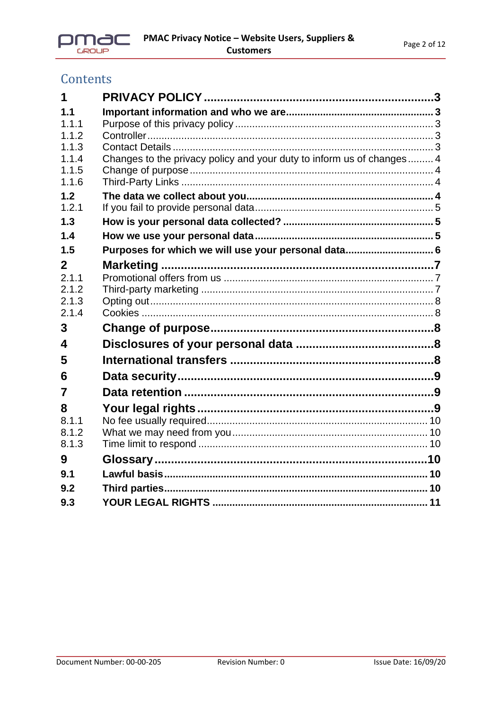

# Contents

| 1              |                                                                       |  |
|----------------|-----------------------------------------------------------------------|--|
| 1.1            |                                                                       |  |
| 1.1.1          |                                                                       |  |
| 1.1.2          |                                                                       |  |
| 1.1.3          |                                                                       |  |
| 1.1.4          | Changes to the privacy policy and your duty to inform us of changes 4 |  |
| 1.1.5<br>1.1.6 |                                                                       |  |
| 1.2            |                                                                       |  |
| 1.2.1          |                                                                       |  |
| 1.3            |                                                                       |  |
|                |                                                                       |  |
| 1.4            |                                                                       |  |
| 1.5            | Purposes for which we will use your personal data 6                   |  |
| $\mathbf{2}$   |                                                                       |  |
| 2.1.1          |                                                                       |  |
| 2.1.2<br>2.1.3 |                                                                       |  |
| 2.1.4          |                                                                       |  |
| 3              |                                                                       |  |
|                |                                                                       |  |
| 4              |                                                                       |  |
| 5              |                                                                       |  |
| 6              |                                                                       |  |
| 7              |                                                                       |  |
| 8              |                                                                       |  |
| 8.1.1          |                                                                       |  |
| 8.1.2          |                                                                       |  |
| 8.1.3          |                                                                       |  |
| 9              |                                                                       |  |
| 9.1            |                                                                       |  |
| 9.2            |                                                                       |  |
| 9.3            |                                                                       |  |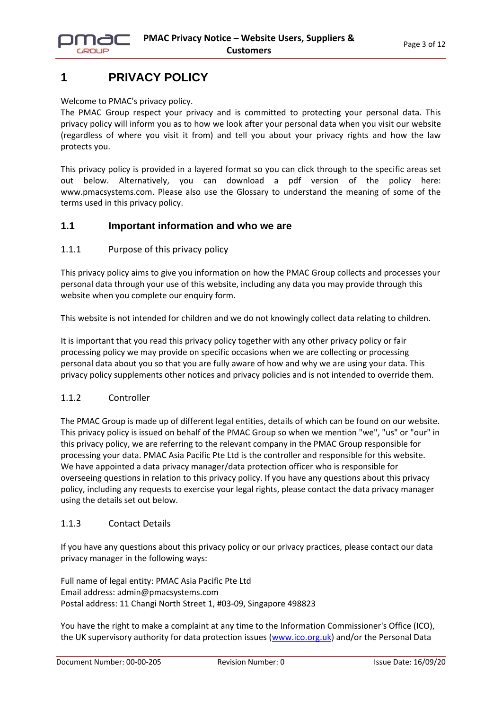

# <span id="page-2-0"></span>**1 PRIVACY POLICY**

Welcome to PMAC's privacy policy.

**GROUP** 

The PMAC Group respect your privacy and is committed to protecting your personal data. This privacy policy will inform you as to how we look after your personal data when you visit our website (regardless of where you visit it from) and tell you about your privacy rights and how the law protects you.

This privacy policy is provided in a layered format so you can click through to the specific areas set out below. Alternatively, you can download a pdf version of the policy here: www.pmacsystems.com. Please also use the Glossary to understand the meaning of some of the terms used in this privacy policy.

## <span id="page-2-1"></span>**1.1 Important information and who we are**

## <span id="page-2-2"></span>1.1.1 Purpose of this privacy policy

This privacy policy aims to give you information on how the PMAC Group collects and processes your personal data through your use of this website, including any data you may provide through this website when you complete our enquiry form.

This website is not intended for children and we do not knowingly collect data relating to children.

It is important that you read this privacy policy together with any other privacy policy or fair processing policy we may provide on specific occasions when we are collecting or processing personal data about you so that you are fully aware of how and why we are using your data. This privacy policy supplements other notices and privacy policies and is not intended to override them.

## <span id="page-2-3"></span>1.1.2 Controller

The PMAC Group is made up of different legal entities, details of which can be found on our website. This privacy policy is issued on behalf of the PMAC Group so when we mention "we", "us" or "our" in this privacy policy, we are referring to the relevant company in the PMAC Group responsible for processing your data. PMAC Asia Pacific Pte Ltd is the controller and responsible for this website. We have appointed a data privacy manager/data protection officer who is responsible for overseeing questions in relation to this privacy policy. If you have any questions about this privacy policy, including any requests to exercise your legal rights, please contact the data privacy manager using the details set out below.

#### <span id="page-2-4"></span>1.1.3 Contact Details

If you have any questions about this privacy policy or our privacy practices, please contact our data privacy manager in the following ways:

Full name of legal entity: PMAC Asia Pacific Pte Ltd Email address: admin@pmacsystems.com Postal address: 11 Changi North Street 1, #03-09, Singapore 498823

You have the right to make a complaint at any time to the Information Commissioner's Office (ICO), the UK supervisory authority for data protection issues [\(www.ico.org.uk\)](http://www.ico.org.uk/) and/or the Personal Data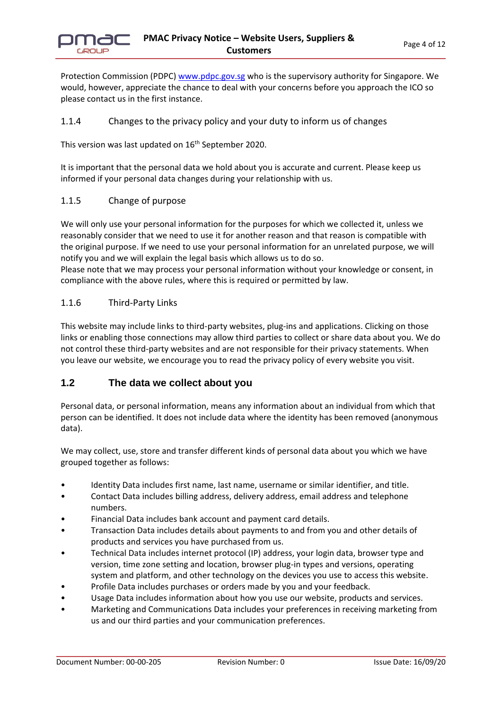

Protection Commission (PDPC) [www.pdpc.gov.sg](http://www.pdpc.gov.sg/) who is the supervisory authority for Singapore. We would, however, appreciate the chance to deal with your concerns before you approach the ICO so please contact us in the first instance.

### <span id="page-3-0"></span>1.1.4 Changes to the privacy policy and your duty to inform us of changes

This version was last updated on 16<sup>th</sup> September 2020.

It is important that the personal data we hold about you is accurate and current. Please keep us informed if your personal data changes during your relationship with us.

#### <span id="page-3-1"></span>1.1.5 Change of purpose

We will only use your personal information for the purposes for which we collected it, unless we reasonably consider that we need to use it for another reason and that reason is compatible with the original purpose. If we need to use your personal information for an unrelated purpose, we will notify you and we will explain the legal basis which allows us to do so.

Please note that we may process your personal information without your knowledge or consent, in compliance with the above rules, where this is required or permitted by law.

#### <span id="page-3-2"></span>1.1.6 Third-Party Links

This website may include links to third-party websites, plug-ins and applications. Clicking on those links or enabling those connections may allow third parties to collect or share data about you. We do not control these third-party websites and are not responsible for their privacy statements. When you leave our website, we encourage you to read the privacy policy of every website you visit.

## <span id="page-3-3"></span>**1.2 The data we collect about you**

Personal data, or personal information, means any information about an individual from which that person can be identified. It does not include data where the identity has been removed (anonymous data).

We may collect, use, store and transfer different kinds of personal data about you which we have grouped together as follows:

- Identity Data includes first name, last name, username or similar identifier, and title.
- Contact Data includes billing address, delivery address, email address and telephone numbers.
- Financial Data includes bank account and payment card details.
- Transaction Data includes details about payments to and from you and other details of products and services you have purchased from us.
- Technical Data includes internet protocol (IP) address, your login data, browser type and version, time zone setting and location, browser plug-in types and versions, operating system and platform, and other technology on the devices you use to access this website.
- Profile Data includes purchases or orders made by you and your feedback.
- Usage Data includes information about how you use our website, products and services.
- Marketing and Communications Data includes your preferences in receiving marketing from us and our third parties and your communication preferences.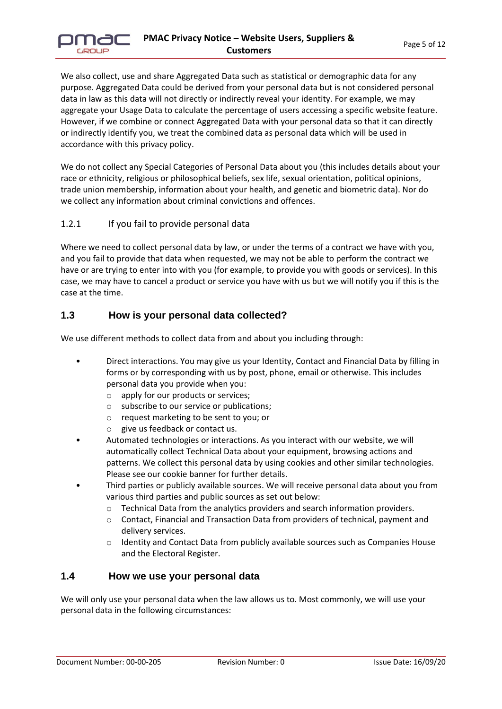

We also collect, use and share Aggregated Data such as statistical or demographic data for any purpose. Aggregated Data could be derived from your personal data but is not considered personal data in law as this data will not directly or indirectly reveal your identity. For example, we may aggregate your Usage Data to calculate the percentage of users accessing a specific website feature. However, if we combine or connect Aggregated Data with your personal data so that it can directly or indirectly identify you, we treat the combined data as personal data which will be used in accordance with this privacy policy.

We do not collect any Special Categories of Personal Data about you (this includes details about your race or ethnicity, religious or philosophical beliefs, sex life, sexual orientation, political opinions, trade union membership, information about your health, and genetic and biometric data). Nor do we collect any information about criminal convictions and offences.

## <span id="page-4-0"></span>1.2.1 If you fail to provide personal data

Where we need to collect personal data by law, or under the terms of a contract we have with you, and you fail to provide that data when requested, we may not be able to perform the contract we have or are trying to enter into with you (for example, to provide you with goods or services). In this case, we may have to cancel a product or service you have with us but we will notify you if this is the case at the time.

## <span id="page-4-1"></span>**1.3 How is your personal data collected?**

We use different methods to collect data from and about you including through:

- Direct interactions. You may give us your Identity, Contact and Financial Data by filling in forms or by corresponding with us by post, phone, email or otherwise. This includes personal data you provide when you:
	- o apply for our products or services;
	- o subscribe to our service or publications;
	- o request marketing to be sent to you; or
	- o give us feedback or contact us.
- Automated technologies or interactions. As you interact with our website, we will automatically collect Technical Data about your equipment, browsing actions and patterns. We collect this personal data by using cookies and other similar technologies. Please see our cookie banner for further details.
- Third parties or publicly available sources. We will receive personal data about you from various third parties and public sources as set out below:
	- $\circ$  Technical Data from the analytics providers and search information providers.
	- $\circ$  Contact, Financial and Transaction Data from providers of technical, payment and delivery services.
	- $\circ$  Identity and Contact Data from publicly available sources such as Companies House and the Electoral Register.

## <span id="page-4-2"></span>**1.4 How we use your personal data**

We will only use your personal data when the law allows us to. Most commonly, we will use your personal data in the following circumstances: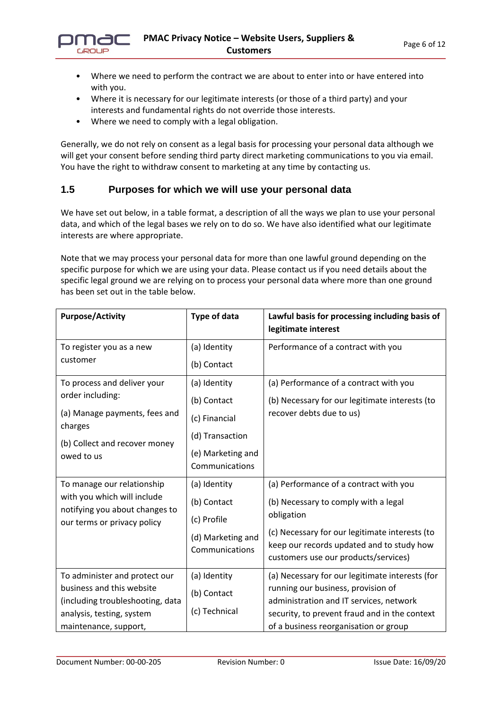- Where we need to perform the contract we are about to enter into or have entered into with you.
- Where it is necessary for our legitimate interests (or those of a third party) and your interests and fundamental rights do not override those interests.
- Where we need to comply with a legal obligation.

C POL IP

Generally, we do not rely on consent as a legal basis for processing your personal data although we will get your consent before sending third party direct marketing communications to you via email. You have the right to withdraw consent to marketing at any time by contacting us.

## <span id="page-5-0"></span>**1.5 Purposes for which we will use your personal data**

We have set out below, in a table format, a description of all the ways we plan to use your personal data, and which of the legal bases we rely on to do so. We have also identified what our legitimate interests are where appropriate.

Note that we may process your personal data for more than one lawful ground depending on the specific purpose for which we are using your data. Please contact us if you need details about the specific legal ground we are relying on to process your personal data where more than one ground has been set out in the table below.

| <b>Purpose/Activity</b>                                                                                                                              | Type of data                                                                                           | Lawful basis for processing including basis of<br>legitimate interest                                                                                                                                                               |
|------------------------------------------------------------------------------------------------------------------------------------------------------|--------------------------------------------------------------------------------------------------------|-------------------------------------------------------------------------------------------------------------------------------------------------------------------------------------------------------------------------------------|
| To register you as a new<br>customer                                                                                                                 | (a) Identity<br>(b) Contact                                                                            | Performance of a contract with you                                                                                                                                                                                                  |
| To process and deliver your<br>order including:<br>(a) Manage payments, fees and<br>charges<br>(b) Collect and recover money<br>owed to us           | (a) Identity<br>(b) Contact<br>(c) Financial<br>(d) Transaction<br>(e) Marketing and<br>Communications | (a) Performance of a contract with you<br>(b) Necessary for our legitimate interests (to<br>recover debts due to us)                                                                                                                |
| To manage our relationship<br>with you which will include<br>notifying you about changes to<br>our terms or privacy policy                           | (a) Identity<br>(b) Contact<br>(c) Profile<br>(d) Marketing and<br>Communications                      | (a) Performance of a contract with you<br>(b) Necessary to comply with a legal<br>obligation<br>(c) Necessary for our legitimate interests (to<br>keep our records updated and to study how<br>customers use our products/services) |
| To administer and protect our<br>business and this website<br>(including troubleshooting, data<br>analysis, testing, system<br>maintenance, support, | (a) Identity<br>(b) Contact<br>(c) Technical                                                           | (a) Necessary for our legitimate interests (for<br>running our business, provision of<br>administration and IT services, network<br>security, to prevent fraud and in the context<br>of a business reorganisation or group          |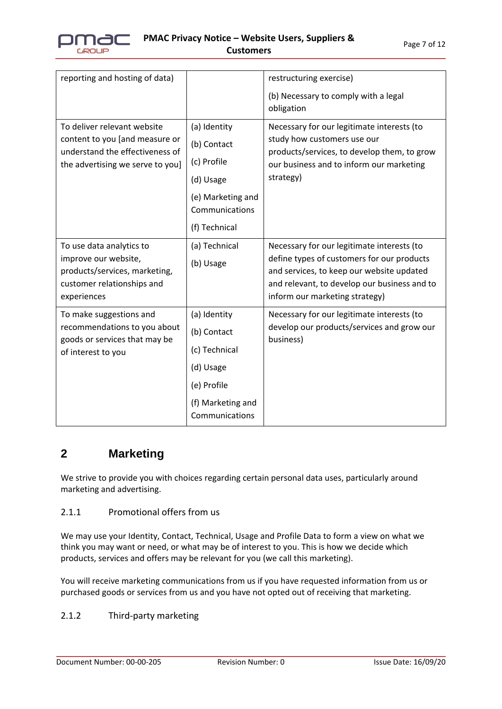

| reporting and hosting of data)                                                                                                       |                                            | restructuring exercise)                                                                                                                                                                                                 |
|--------------------------------------------------------------------------------------------------------------------------------------|--------------------------------------------|-------------------------------------------------------------------------------------------------------------------------------------------------------------------------------------------------------------------------|
|                                                                                                                                      |                                            | (b) Necessary to comply with a legal<br>obligation                                                                                                                                                                      |
| To deliver relevant website<br>content to you [and measure or<br>understand the effectiveness of<br>the advertising we serve to you] | (a) Identity<br>(b) Contact<br>(c) Profile | Necessary for our legitimate interests (to<br>study how customers use our<br>products/services, to develop them, to grow<br>our business and to inform our marketing<br>strategy)                                       |
|                                                                                                                                      | (d) Usage                                  |                                                                                                                                                                                                                         |
|                                                                                                                                      | (e) Marketing and<br>Communications        |                                                                                                                                                                                                                         |
|                                                                                                                                      | (f) Technical                              |                                                                                                                                                                                                                         |
| To use data analytics to<br>improve our website,<br>products/services, marketing,<br>customer relationships and<br>experiences       | (a) Technical<br>(b) Usage                 | Necessary for our legitimate interests (to<br>define types of customers for our products<br>and services, to keep our website updated<br>and relevant, to develop our business and to<br>inform our marketing strategy) |
| To make suggestions and                                                                                                              | (a) Identity                               | Necessary for our legitimate interests (to<br>develop our products/services and grow our<br>business)                                                                                                                   |
| recommendations to you about<br>goods or services that may be<br>of interest to you                                                  | (b) Contact                                |                                                                                                                                                                                                                         |
|                                                                                                                                      | (c) Technical                              |                                                                                                                                                                                                                         |
|                                                                                                                                      | (d) Usage                                  |                                                                                                                                                                                                                         |
|                                                                                                                                      | (e) Profile                                |                                                                                                                                                                                                                         |
|                                                                                                                                      | (f) Marketing and<br>Communications        |                                                                                                                                                                                                                         |

# <span id="page-6-0"></span>**2 Marketing**

We strive to provide you with choices regarding certain personal data uses, particularly around marketing and advertising.

## <span id="page-6-1"></span>2.1.1 Promotional offers from us

We may use your Identity, Contact, Technical, Usage and Profile Data to form a view on what we think you may want or need, or what may be of interest to you. This is how we decide which products, services and offers may be relevant for you (we call this marketing).

You will receive marketing communications from us if you have requested information from us or purchased goods or services from us and you have not opted out of receiving that marketing.

## <span id="page-6-2"></span>2.1.2 Third-party marketing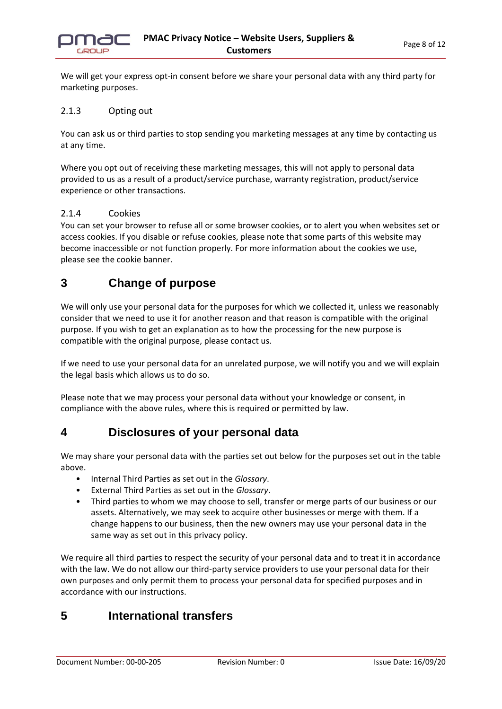We will get your express opt-in consent before we share your personal data with any third party for marketing purposes.

#### <span id="page-7-0"></span>2.1.3 Opting out

**CROLE** 

You can ask us or third parties to stop sending you marketing messages at any time by contacting us at any time.

Where you opt out of receiving these marketing messages, this will not apply to personal data provided to us as a result of a product/service purchase, warranty registration, product/service experience or other transactions.

#### <span id="page-7-1"></span>2.1.4 Cookies

You can set your browser to refuse all or some browser cookies, or to alert you when websites set or access cookies. If you disable or refuse cookies, please note that some parts of this website may become inaccessible or not function properly. For more information about the cookies we use, please see the cookie banner.

# <span id="page-7-2"></span>**3 Change of purpose**

We will only use your personal data for the purposes for which we collected it, unless we reasonably consider that we need to use it for another reason and that reason is compatible with the original purpose. If you wish to get an explanation as to how the processing for the new purpose is compatible with the original purpose, please contact us.

If we need to use your personal data for an unrelated purpose, we will notify you and we will explain the legal basis which allows us to do so.

Please note that we may process your personal data without your knowledge or consent, in compliance with the above rules, where this is required or permitted by law.

# <span id="page-7-3"></span>**4 Disclosures of your personal data**

We may share your personal data with the parties set out below for the purposes set out in the table above.

- Internal Third Parties as set out in the *Glossary*.
- External Third Parties as set out in the *Glossary*.
- Third parties to whom we may choose to sell, transfer or merge parts of our business or our assets. Alternatively, we may seek to acquire other businesses or merge with them. If a change happens to our business, then the new owners may use your personal data in the same way as set out in this privacy policy.

We require all third parties to respect the security of your personal data and to treat it in accordance with the law. We do not allow our third-party service providers to use your personal data for their own purposes and only permit them to process your personal data for specified purposes and in accordance with our instructions.

# <span id="page-7-4"></span>**5 International transfers**

Document Number: 00-00-205 Revision Number: 0 Issue Date: 16/09/20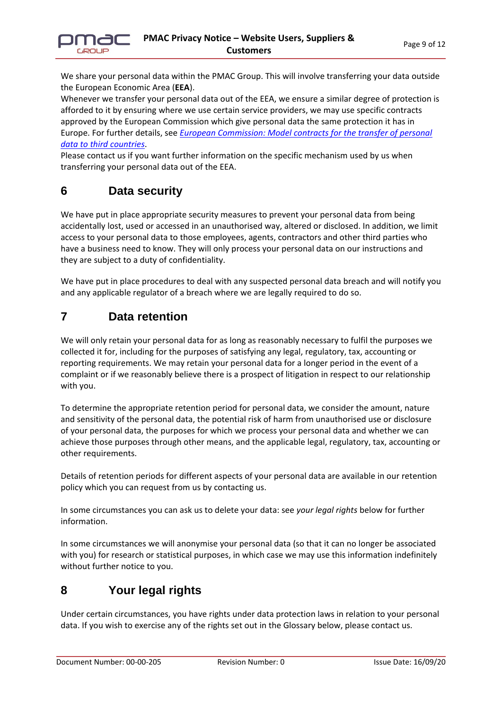We share your personal data within the PMAC Group. This will involve transferring your data outside the European Economic Area (**EEA**).

Whenever we transfer your personal data out of the EEA, we ensure a similar degree of protection is afforded to it by ensuring where we use certain service providers, we may use specific contracts approved by the European Commission which give personal data the same protection it has in Europe. For further details, see *European Commission: Model contracts for the transfer of personal data to third countries*.

Please contact us if you want further information on the specific mechanism used by us when transferring your personal data out of the EEA.

# <span id="page-8-0"></span>**6 Data security**

**CROLE** 

We have put in place appropriate security measures to prevent your personal data from being accidentally lost, used or accessed in an unauthorised way, altered or disclosed. In addition, we limit access to your personal data to those employees, agents, contractors and other third parties who have a business need to know. They will only process your personal data on our instructions and they are subject to a duty of confidentiality.

We have put in place procedures to deal with any suspected personal data breach and will notify you and any applicable regulator of a breach where we are legally required to do so.

# <span id="page-8-1"></span>**7 Data retention**

We will only retain your personal data for as long as reasonably necessary to fulfil the purposes we collected it for, including for the purposes of satisfying any legal, regulatory, tax, accounting or reporting requirements. We may retain your personal data for a longer period in the event of a complaint or if we reasonably believe there is a prospect of litigation in respect to our relationship with you.

To determine the appropriate retention period for personal data, we consider the amount, nature and sensitivity of the personal data, the potential risk of harm from unauthorised use or disclosure of your personal data, the purposes for which we process your personal data and whether we can achieve those purposes through other means, and the applicable legal, regulatory, tax, accounting or other requirements.

Details of retention periods for different aspects of your personal data are available in our retention policy which you can request from us by contacting us.

In some circumstances you can ask us to delete your data: see *your legal rights* below for further information.

In some circumstances we will anonymise your personal data (so that it can no longer be associated with you) for research or statistical purposes, in which case we may use this information indefinitely without further notice to you.

# <span id="page-8-2"></span>**8 Your legal rights**

Under certain circumstances, you have rights under data protection laws in relation to your personal data. If you wish to exercise any of the rights set out in the Glossary below, please contact us.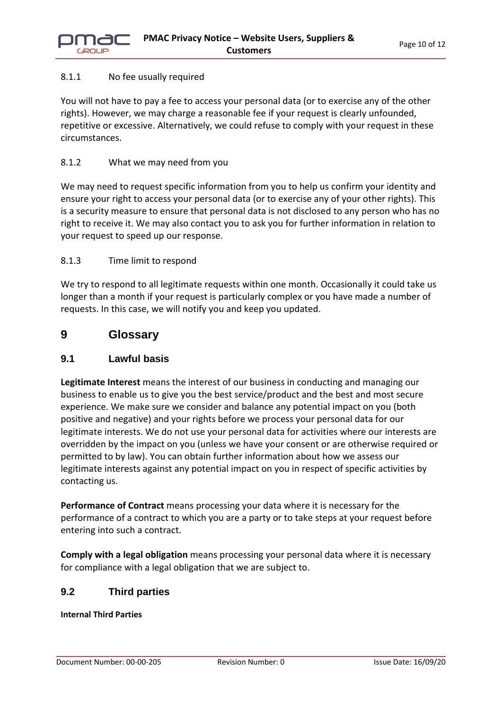## <span id="page-9-0"></span>8.1.1 No fee usually required

**CROUP** 

You will not have to pay a fee to access your personal data (or to exercise any of the other rights). However, we may charge a reasonable fee if your request is clearly unfounded, repetitive or excessive. Alternatively, we could refuse to comply with your request in these circumstances.

#### <span id="page-9-1"></span>8.1.2 What we may need from you

We may need to request specific information from you to help us confirm your identity and ensure your right to access your personal data (or to exercise any of your other rights). This is a security measure to ensure that personal data is not disclosed to any person who has no right to receive it. We may also contact you to ask you for further information in relation to your request to speed up our response.

#### <span id="page-9-2"></span>8.1.3 Time limit to respond

We try to respond to all legitimate requests within one month. Occasionally it could take us longer than a month if your request is particularly complex or you have made a number of requests. In this case, we will notify you and keep you updated.

## <span id="page-9-3"></span>**9 Glossary**

## <span id="page-9-4"></span>**9.1 Lawful basis**

**Legitimate Interest** means the interest of our business in conducting and managing our business to enable us to give you the best service/product and the best and most secure experience. We make sure we consider and balance any potential impact on you (both positive and negative) and your rights before we process your personal data for our legitimate interests. We do not use your personal data for activities where our interests are overridden by the impact on you (unless we have your consent or are otherwise required or permitted to by law). You can obtain further information about how we assess our legitimate interests against any potential impact on you in respect of specific activities by contacting us.

**Performance of Contract** means processing your data where it is necessary for the performance of a contract to which you are a party or to take steps at your request before entering into such a contract.

**Comply with a legal obligation** means processing your personal data where it is necessary for compliance with a legal obligation that we are subject to.

## <span id="page-9-5"></span>**9.2 Third parties**

**Internal Third Parties**

Document Number: 00-00-205 Revision Number: 0 Issue Date: 16/09/20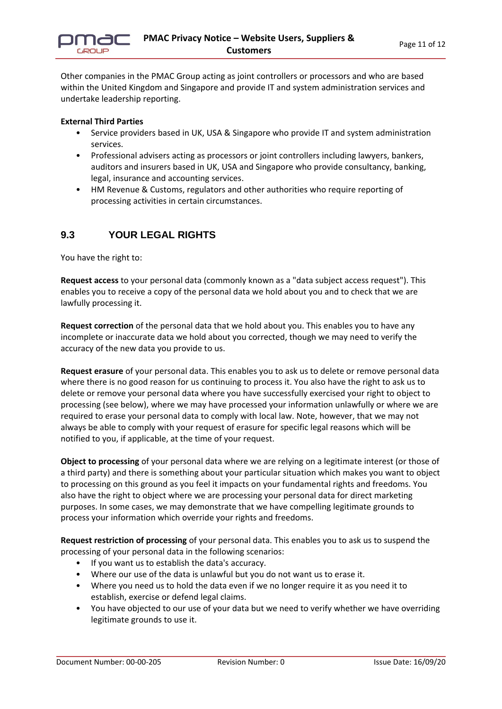

Other companies in the PMAC Group acting as joint controllers or processors and who are based within the United Kingdom and Singapore and provide IT and system administration services and undertake leadership reporting.

#### **External Third Parties**

- Service providers based in UK, USA & Singapore who provide IT and system administration services.
- Professional advisers acting as processors or joint controllers including lawyers, bankers, auditors and insurers based in UK, USA and Singapore who provide consultancy, banking, legal, insurance and accounting services.
- HM Revenue & Customs, regulators and other authorities who require reporting of processing activities in certain circumstances.

## <span id="page-10-0"></span>**9.3 YOUR LEGAL RIGHTS**

You have the right to:

**Request access** to your personal data (commonly known as a "data subject access request"). This enables you to receive a copy of the personal data we hold about you and to check that we are lawfully processing it.

**Request correction** of the personal data that we hold about you. This enables you to have any incomplete or inaccurate data we hold about you corrected, though we may need to verify the accuracy of the new data you provide to us.

**Request erasure** of your personal data. This enables you to ask us to delete or remove personal data where there is no good reason for us continuing to process it. You also have the right to ask us to delete or remove your personal data where you have successfully exercised your right to object to processing (see below), where we may have processed your information unlawfully or where we are required to erase your personal data to comply with local law. Note, however, that we may not always be able to comply with your request of erasure for specific legal reasons which will be notified to you, if applicable, at the time of your request.

**Object to processing** of your personal data where we are relying on a legitimate interest (or those of a third party) and there is something about your particular situation which makes you want to object to processing on this ground as you feel it impacts on your fundamental rights and freedoms. You also have the right to object where we are processing your personal data for direct marketing purposes. In some cases, we may demonstrate that we have compelling legitimate grounds to process your information which override your rights and freedoms.

**Request restriction of processing** of your personal data. This enables you to ask us to suspend the processing of your personal data in the following scenarios:

- If you want us to establish the data's accuracy.
- Where our use of the data is unlawful but you do not want us to erase it.
- Where you need us to hold the data even if we no longer require it as you need it to establish, exercise or defend legal claims.
- You have objected to our use of your data but we need to verify whether we have overriding legitimate grounds to use it.